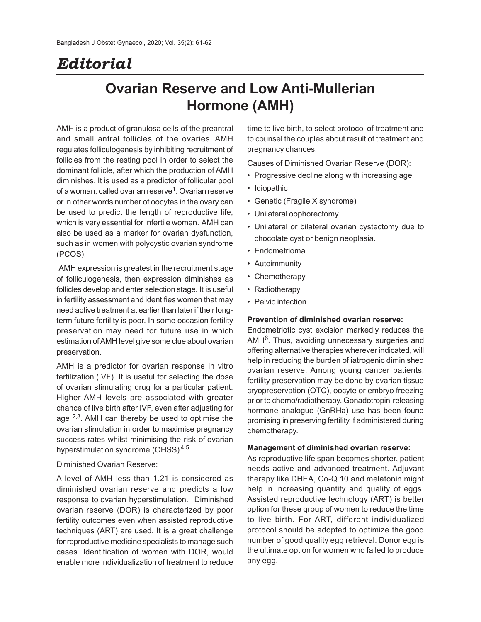# *Editorial*

## **Ovarian Reserve and Low Anti-Mullerian Hormone (AMH)**

AMH is a product of granulosa cells of the preantral and small antral follicles of the ovaries. AMH regulates folliculogenesis by inhibiting recruitment of follicles from the resting pool in order to select the dominant follicle, after which the production of AMH diminishes. It is used as a predictor of follicular pool of a woman, called ovarian reserve<sup>1</sup>. Ovarian reserve or in other words number of oocytes in the ovary can be used to predict the length of reproductive life, which is very essential for infertile women. AMH can also be used as a marker for ovarian dysfunction, such as in women with polycystic ovarian syndrome (PCOS).

 AMH expression is greatest in the recruitment stage of folliculogenesis, then expression diminishes as follicles develop and enter selection stage. It is useful in fertility assessment and identifies women that may need active treatment at earlier than later if their longterm future fertility is poor. In some occasion fertility preservation may need for future use in which estimation of AMH level give some clue about ovarian preservation.

AMH is a predictor for ovarian response in vitro fertilization (IVF). It is useful for selecting the dose of ovarian stimulating drug for a particular patient. Higher AMH levels are associated with greater chance of live birth after IVF, even after adjusting for age <sup>2,3</sup>. AMH can thereby be used to optimise the ovarian stimulation in order to maximise pregnancy success rates whilst minimising the risk of ovarian hyperstimulation syndrome (OHSS)<sup>4,5</sup>.

#### Diminished Ovarian Reserve:

A level of AMH less than 1.21 is considered as diminished ovarian reserve and predicts a low response to ovarian hyperstimulation. Diminished ovarian reserve (DOR) is characterized by poor fertility outcomes even when assisted reproductive techniques (ART) are used. It is a great challenge for reproductive medicine specialists to manage such cases. Identification of women with DOR, would enable more individualization of treatment to reduce

time to live birth, to select protocol of treatment and to counsel the couples about result of treatment and pregnancy chances.

Causes of Diminished Ovarian Reserve (DOR):

- Progressive decline along with increasing age
- Idiopathic
- Genetic (Fragile X syndrome)
- Unilateral oophorectomy
- Unilateral or bilateral ovarian cystectomy due to chocolate cyst or benign neoplasia.
- Endometrioma
- Autoimmunity
- Chemotherapy
- Radiotherapy
- Pelvic infection

## **Prevention of diminished ovarian reserve:**

Endometriotic cyst excision markedly reduces the AMH<sup>6</sup>. Thus, avoiding unnecessary surgeries and offering alternative therapies wherever indicated, will help in reducing the burden of iatrogenic diminished ovarian reserve. Among young cancer patients, fertility preservation may be done by ovarian tissue cryopreservation (OTC), oocyte or embryo freezing prior to chemo/radiotherapy. Gonadotropin-releasing hormone analogue (GnRHa) use has been found promising in preserving fertility if administered during chemotherapy.

#### **Management of diminished ovarian reserve:**

As reproductive life span becomes shorter, patient needs active and advanced treatment. Adjuvant therapy like DHEA, Co-Q 10 and melatonin might help in increasing quantity and quality of eggs. Assisted reproductive technology (ART) is better option for these group of women to reduce the time to live birth. For ART, different individualized protocol should be adopted to optimize the good number of good quality egg retrieval. Donor egg is the ultimate option for women who failed to produce any egg.